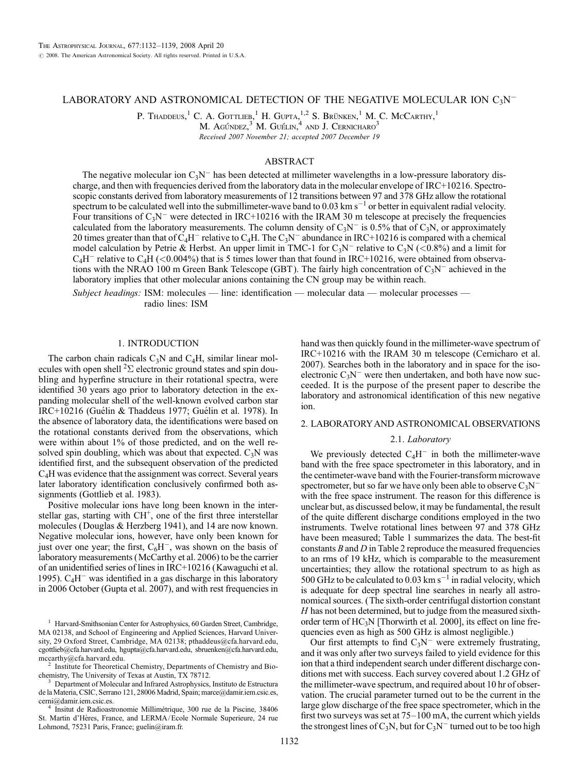# LABORATORY AND ASTRONOMICAL DETECTION OF THE NEGATIVE MOLECULAR ION  $C_3N^-$

P. Thaddeus,<sup>1</sup> C. A. Gottlieb,<sup>1</sup> H. Gupta,<sup>1,2</sup> S. Brünken,<sup>1</sup> M. C. McCarthy,<sup>1</sup>

M. Agúndez, $3^{3}$  M. Guélin, $^{4}$  and J. Cernicharo<sup>3</sup>

Received 2007 November 21; accepted 2007 December 19

# ABSTRACT

The negative molecular ion  $C_3N^-$  has been detected at millimeter wavelengths in a low-pressure laboratory discharge, and then with frequencies derived from the laboratory data in the molecular envelope of IRC+10216. Spectroscopic constants derived from laboratory measurements of 12 transitions between 97 and 378 GHz allow the rotational spectrum to be calculated well into the submillimeter-wave band to 0.03 km  $s^{-1}$  or better in equivalent radial velocity. Four transitions of  $C_3N^-$  were detected in IRC+10216 with the IRAM 30 m telescope at precisely the frequencies calculated from the laboratory measurements. The column density of  $C_3N^-$  is 0.5% that of  $C_3N$ , or approximately 20 times greater than that of  $C_4H^-$  relative to  $C_4H$ . The  $C_3N^-$  abundance in IRC+10216 is compared with a chemical model calculation by Petrie & Herbst. An upper limit in TMC-1 for C<sub>3</sub>N<sup>-</sup> relative to C<sub>3</sub>N (<0.8%) and a limit for  $C_4H^-$  relative to  $C_4H$  (<0.004%) that is 5 times lower than that found in IRC+10216, were obtained from observations with the NRAO 100 m Green Bank Telescope (GBT). The fairly high concentration of  $C_3N^-$  achieved in the laboratory implies that other molecular anions containing the CN group may be within reach.

Subject headings: ISM: molecules - line: identification - molecular data - molecular processes radio lines: ISM

### 1. INTRODUCTION

The carbon chain radicals  $C_3N$  and  $C_4H$ , similar linear molecules with open shell  ${}^{2}\Sigma$  electronic ground states and spin doubling and hyperfine structure in their rotational spectra, were identified 30 years ago prior to laboratory detection in the expanding molecular shell of the well-known evolved carbon star IRC+10216 (Guélin & Thaddeus 1977; Guélin et al. 1978). In the absence of laboratory data, the identifications were based on the rotational constants derived from the observations, which were within about 1% of those predicted, and on the well resolved spin doubling, which was about that expected.  $C_3N$  was identified first, and the subsequent observation of the predicted C4H was evidence that the assignment was correct. Several years later laboratory identification conclusively confirmed both assignments (Gottlieb et al. 1983).

Positive molecular ions have long been known in the interstellar gas, starting with  $CH<sup>+</sup>$ , one of the first three interstellar molecules (Douglas & Herzberg 1941), and 14 are now known. Negative molecular ions, however, have only been known for just over one year; the first,  $C_6H^-$ , was shown on the basis of laboratory measurements (McCarthy et al. 2006) to be the carrier of an unidentified series of lines in IRC+10216 (Kawaguchi et al. 1995).  $C_4H^-$  was identified in a gas discharge in this laboratory in 2006 October (Gupta et al. 2007), and with rest frequencies in

Department of Molecular and Infrared Astrophysics, Instituto de Estructura de la Materia, CSIC, Serrano 121, 28006 Madrid, Spain; marce@damir.iem.csic.es,

<sup>4</sup> Insitut de Radioastronomie Millimétrique, 300 rue de la Piscine, 38406 St. Martin d'Hères, France, and LERMA/Ecole Normale Superieure, 24 rue Lohmond, 75231 Paris, France; guelin@iram.fr.

hand was then quickly found in the millimeter-wave spectrum of IRC+10216 with the IRAM 30 m telescope (Cernicharo et al. 2007). Searches both in the laboratory and in space for the isoelectronic  $C_3N^-$  were then undertaken, and both have now succeeded. It is the purpose of the present paper to describe the laboratory and astronomical identification of this new negative ion.

## 2. LABORATORYAND ASTRONOMICAL OBSERVATIONS

#### 2.1. Laboratory

We previously detected  $C_4H^-$  in both the millimeter-wave band with the free space spectrometer in this laboratory, and in the centimeter-wave band with the Fourier-transform microwave spectrometer, but so far we have only been able to observe  $C_3N^$ with the free space instrument. The reason for this difference is unclear but, as discussed below, it may be fundamental, the result of the quite different discharge conditions employed in the two instruments. Twelve rotational lines between 97 and 378 GHz have been measured; Table 1 summarizes the data. The best-fit constants  $B$  and  $D$  in Table 2 reproduce the measured frequencies to an rms of 19 kHz, which is comparable to the measurement uncertainties; they allow the rotational spectrum to as high as 500 GHz to be calculated to 0.03 km  $s^{-1}$  in radial velocity, which is adequate for deep spectral line searches in nearly all astronomical sources. (The sixth-order centrifugal distortion constant H has not been determined, but to judge from the measured sixthorder term of HC<sub>3</sub>N [Thorwirth et al. 2000], its effect on line frequencies even as high as 500 GHz is almost negligible.)

Our first attempts to find  $C_3N^-$  were extremely frustrating, and it was only after two surveys failed to yield evidence for this ion that a third independent search under different discharge conditions met with success. Each survey covered about 1.2 GHz of the millimeter-wave spectrum, and required about 10 hr of observation. The crucial parameter turned out to be the current in the large glow discharge of the free space spectrometer, which in the first two surveys was set at 75–100 mA, the current which yields the strongest lines of  $C_3N$ , but for  $C_3N^-$  turned out to be too high

<sup>&</sup>lt;sup>1</sup> Harvard-Smithsonian Center for Astrophysics, 60 Garden Street, Cambridge, MA 02138, and School of Engineering and Applied Sciences, Harvard University, 29 Oxford Street, Cambridge, MA 02138; pthaddeus@cfa.harvard.edu, cgottlieb@cfa.harvard.edu, hgupta@cfa.harvard.edu, sbruenken@cfa.harvard.edu,

mccarthy@cfa.harvard.edu.<br><sup>2</sup> Institute for Theoretical Chemistry, Departments of Chemistry and Bio-<br>chemistry, The University of Texas at Austin, TX 78712.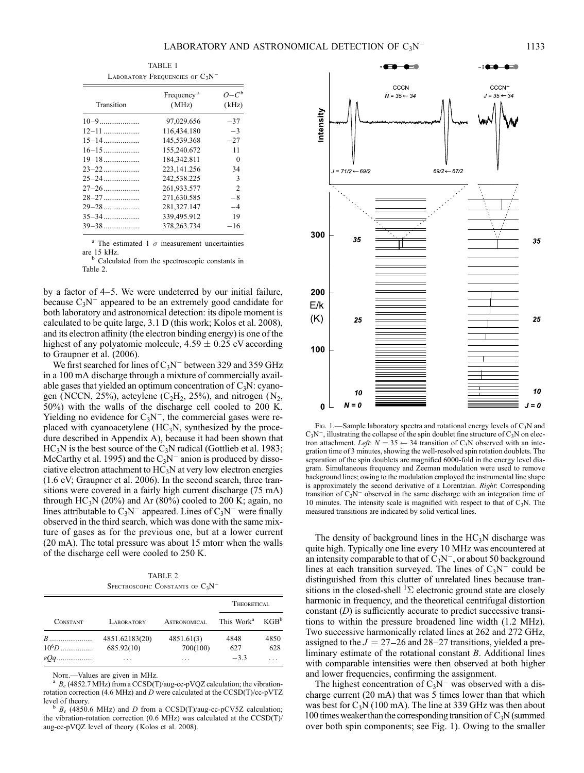| <b>TABLE 1</b><br>LABORATORY FREQUENCIES OF $C_3N^-$ |                                 |                          |  |  |
|------------------------------------------------------|---------------------------------|--------------------------|--|--|
| Transition                                           | Frequency <sup>a</sup><br>(MHz) | $O - C^{\rm b}$<br>(kHz) |  |  |
| $10-9$                                               | 97,029.656                      | $-37$                    |  |  |
| $12 - 11$                                            | 116,434.180                     | $-3$                     |  |  |
| $15 - 14$                                            | 145,539.368                     | $-27$                    |  |  |
| $16 - 15$                                            | 155,240.672                     | 11                       |  |  |
| $19 - 18$                                            | 184,342.811                     | 0                        |  |  |
|                                                      | 223,141.256                     | 34                       |  |  |
| $25 - 24$                                            | 242,538.225                     | 3                        |  |  |
| $27 - 26$                                            | 261,933.577                     | $\overline{c}$           |  |  |
| $28 - 27$                                            | 271,630.585                     | $-8$                     |  |  |
| $29 - 28$                                            | 281,327.147                     | $-4$                     |  |  |
| $35 - 34$                                            | 339,495.912                     | 19                       |  |  |
| $39 - 38$                                            | 378, 263. 734                   | $-16$                    |  |  |

<sup>a</sup> The estimated 1  $\sigma$  measurement uncertainties are 15 kHz.<br> $b$  Calculated from the spectroscopic constants in

Table 2.

by a factor of 4–5. We were undeterred by our initial failure, because  $C_3N^-$  appeared to be an extremely good candidate for both laboratory and astronomical detection: its dipole moment is calculated to be quite large, 3.1 D (this work; Kolos et al. 2008), and its electron affinity (the electron binding energy) is one of the highest of any polyatomic molecule,  $4.59 \pm 0.25$  eV according to Graupner et al. (2006).

We first searched for lines of  $C_3N^-$  between 329 and 359 GHz in a 100 mA discharge through a mixture of commercially available gases that yielded an optimum concentration of  $C_3N$ : cyanogen (NCCN, 25%), acteylene ( $C_2H_2$ , 25%), and nitrogen ( $N_2$ , 50%) with the walls of the discharge cell cooled to 200 K. Yielding no evidence for  $C_3N^-$ , the commercial gases were replaced with cyanoacetylene (HC<sub>3</sub>N, synthesized by the procedure described in Appendix A), because it had been shown that  $HC<sub>3</sub>N$  is the best source of the  $C<sub>3</sub>N$  radical (Gottlieb et al. 1983; McCarthy et al. 1995) and the  $C_3N^-$  anion is produced by dissociative electron attachment to HC3N at very low electron energies (1.6 eV; Graupner et al. 2006). In the second search, three transitions were covered in a fairly high current discharge (75 mA) through HC<sub>3</sub>N (20%) and Ar (80%) cooled to 200 K; again, no lines attributable to  $C_3N^-$  appeared. Lines of  $C_3N^-$  were finally observed in the third search, which was done with the same mixture of gases as for the previous one, but at a lower current (20 mA). The total pressure was about 15 mtorr when the walls of the discharge cell were cooled to 250 K.

TABLE 2 SPECTROSCOPIC CONSTANTS OF  $C_3N^-$ 

| <b>CONSTANT</b> |                   |                     | THEORETICAL            |                  |
|-----------------|-------------------|---------------------|------------------------|------------------|
|                 | <b>LABORATORY</b> | <b>ASTRONOMICAL</b> | This Work <sup>a</sup> | KGB <sup>b</sup> |
| $B$             | 4851.62183(20)    | 4851.61(3)          | 4848                   | 4850             |
| $10^{6}D$       | 685.92(10)        | 700(100)            | 627                    | 628              |
| $eQq$           | $\cdots$          | .                   | $-3.3$                 |                  |

Note.—Values are given in MHz.<br><sup>a</sup>  $B_e$  (4852.7 MHz) from a CCSD(T)/aug-cc-pVQZ calculation; the vibrationrotation correction (4.6 MHz) and D were calculated at the  $\text{CCSD(T)/cc-pVTZ}$  level of theory.

 $B_e$  (4850.6 MHz) and D from a CCSD(T)/aug-cc-pCV5Z calculation; the vibration-rotation correction (0.6 MHz) was calculated at the CCSD(T)/ aug-cc-pVQZ level of theory ( Kolos et al. 2008).



Fig. 1.—Sample laboratory spectra and rotational energy levels of  $C_3N$  and  $C_3N^$ , illustrating the collapse of the spin doublet fine structure of  $C_3N$  on electron attachment. Left:  $N = 35 \leftarrow 34$  transition of C<sub>3</sub>N observed with an integration time of 3 minutes, showing the well-resolved spin rotation doublets. The separation of the spin doublets are magnified 6000-fold in the energy level diagram. Simultaneous frequency and Zeeman modulation were used to remove background lines; owing to the modulation employed the instrumental line shape is approximately the second derivative of a Lorentzian. Right: Corresponding transition of  $C_3N^-$  observed in the same discharge with an integration time of 10 minutes. The intensity scale is magnified with respect to that of  $C_3N$ . The measured transitions are indicated by solid vertical lines.

The density of background lines in the  $HC<sub>3</sub>N$  discharge was quite high. Typically one line every 10 MHz was encountered at an intensity comparable to that of  $C_3N^-$ , or about 50 background lines at each transition surveyed. The lines of  $C_3N^-$  could be distinguished from this clutter of unrelated lines because transitions in the closed-shell  ${}^{1}\Sigma$  electronic ground state are closely harmonic in frequency, and the theoretical centrifugal distortion constant  $(D)$  is sufficiently accurate to predict successive transitions to within the pressure broadened line width (1.2 MHz). Two successive harmonically related lines at 262 and 272 GHz, assigned to the  $J = 27-26$  and  $28-27$  transitions, yielded a preliminary estimate of the rotational constant B. Additional lines with comparable intensities were then observed at both higher and lower frequencies, confirming the assignment.

The highest concentration of  $C_3N^-$  was observed with a discharge current (20 mA) that was 5 times lower than that which was best for  $C_3N$  (100 mA). The line at 339 GHz was then about 100 times weaker than the corresponding transition of  $C_3N$  (summed over both spin components; see Fig. 1). Owing to the smaller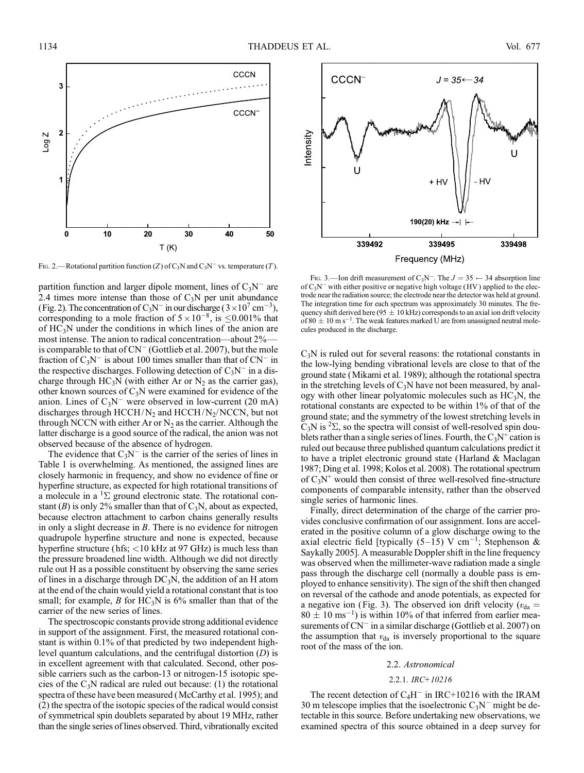

Fig. 2.—Rotational partition function (Z) of C<sub>3</sub>N and C<sub>3</sub>N<sup>-</sup> vs. temperature (T).

partition function and larger dipole moment, lines of  $C_3N^-$  are 2.4 times more intense than those of  $C_3N$  per unit abundance (Fig. 2). The concentration of  $C_3N^-$  in our discharge (3 × 10<sup>7</sup> cm<sup>-3</sup>), corresponding to a mole fraction of  $5 \times 10^{-8}$ , is  $\leq 0.001\%$  that of  $HC_3N$  under the conditions in which lines of the anion are most intense. The anion to radical concentration—about 2% is comparable to that of  $CN^-$  (Gottlieb et al. 2007), but the mole fraction of  $C_3N^-$  is about 100 times smaller than that of  $CN^-$  in the respective discharges. Following detection of  $C_3N^-$  in a discharge through  $HC_3N$  (with either Ar or  $N_2$  as the carrier gas), other known sources of  $C_3N$  were examined for evidence of the anion. Lines of  $C_3N^-$  were observed in low-current (20 mA) discharges through HCCH/N<sub>2</sub> and HCCH/N<sub>2</sub>/NCCN, but not through NCCN with either Ar or  $N_2$  as the carrier. Although the latter discharge is a good source of the radical, the anion was not observed because of the absence of hydrogen.

The evidence that  $C_3N^-$  is the carrier of the series of lines in Table 1 is overwhelming. As mentioned, the assigned lines are closely harmonic in frequency, and show no evidence of fine or hyperfine structure, as expected for high rotational transitions of a molecule in a  ${}^{1}\Sigma$  ground electronic state. The rotational constant (B) is only 2% smaller than that of  $C_3N$ , about as expected, because electron attachment to carbon chains generally results in only a slight decrease in  $B$ . There is no evidence for nitrogen quadrupole hyperfine structure and none is expected, because hyperfine structure (hfs; <10 kHz at 97 GHz) is much less than the pressure broadened line width. Although we did not directly rule out H as a possible constituent by observing the same series of lines in a discharge through  $DC_3N$ , the addition of an H atom at the end of the chain would yield a rotational constant that is too small; for example, B for  $HC_3N$  is 6% smaller than that of the carrier of the new series of lines.

The spectroscopic constants provide strong additional evidence in support of the assignment. First, the measured rotational constant is within 0.1% of that predicted by two independent highlevel quantum calculations, and the centrifugal distortion (D) is in excellent agreement with that calculated. Second, other possible carriers such as the carbon-13 or nitrogen-15 isotopic species of the  $C_3N$  radical are ruled out because: (1) the rotational spectra of these have been measured (McCarthy et al. 1995); and (2) the spectra of the isotopic species of the radical would consist of symmetrical spin doublets separated by about 19 MHz, rather than the single series of lines observed. Third, vibrationally excited



Fig. 3.—Ion drift measurement of C<sub>3</sub>N<sup>-</sup>. The  $J = 35 \leftarrow 34$  absorption line of  $C_3N^-$  with either positive or negative high voltage (HV) applied to the electrode near the radiation source; the electrode near the detector was held at ground. The integration time for each spectrum was approximately 30 minutes. The frequency shift derived here (95  $\pm$  10 kHz) corresponds to an axial ion drift velocity of 80  $\pm$  10 m s<sup>-1</sup>. The weak features marked U are from unassigned neutral molecules produced in the discharge.

 $C_3$ N is ruled out for several reasons: the rotational constants in the low-lying bending vibrational levels are close to that of the ground state (Mikami et al. 1989); although the rotational spectra in the stretching levels of  $C_3N$  have not been measured, by analogy with other linear polyatomic molecules such as  $HC<sub>3</sub>N$ , the rotational constants are expected to be within 1% of that of the ground state; and the symmetry of the lowest stretching levels in  $C_3N$  is <sup>2</sup> $\Sigma$ , so the spectra will consist of well-resolved spin doublets rather than a single series of lines. Fourth, the  $C_3N^+$  cation is ruled out because three published quantum calculations predict it to have a triplet electronic ground state (Harland & Maclagan 1987; Ding et al. 1998; Kolos et al. 2008). The rotational spectrum of  $C_3N^+$  would then consist of three well-resolved fine-structure components of comparable intensity, rather than the observed single series of harmonic lines.

Finally, direct determination of the charge of the carrier provides conclusive confirmation of our assignment. Ions are accelerated in the positive column of a glow discharge owing to the axial electric field [typically (5-15) V cm<sup>-1</sup>; Stephenson & Saykally 2005]. A measurable Doppler shift in the line frequency was observed when the millimeter-wave radiation made a single pass through the discharge cell (normally a double pass is employed to enhance sensitivity). The sign of the shift then changed on reversal of the cathode and anode potentials, as expected for a negative ion (Fig. 3). The observed ion drift velocity ( $v_{da}$  =  $80 \pm 10$  ms<sup>-1</sup>) is within 10% of that inferred from earlier measurements of  $CN^-$  in a similar discharge (Gottlieb et al. 2007) on the assumption that  $v_{da}$  is inversely proportional to the square root of the mass of the ion.

#### 2.2. Astronomical

#### 2.2.1. IRC+10216

The recent detection of  $C_4H^-$  in IRC+10216 with the IRAM 30 m telescope implies that the isoelectronic  $C_3N^-$  might be detectable in this source. Before undertaking new observations, we examined spectra of this source obtained in a deep survey for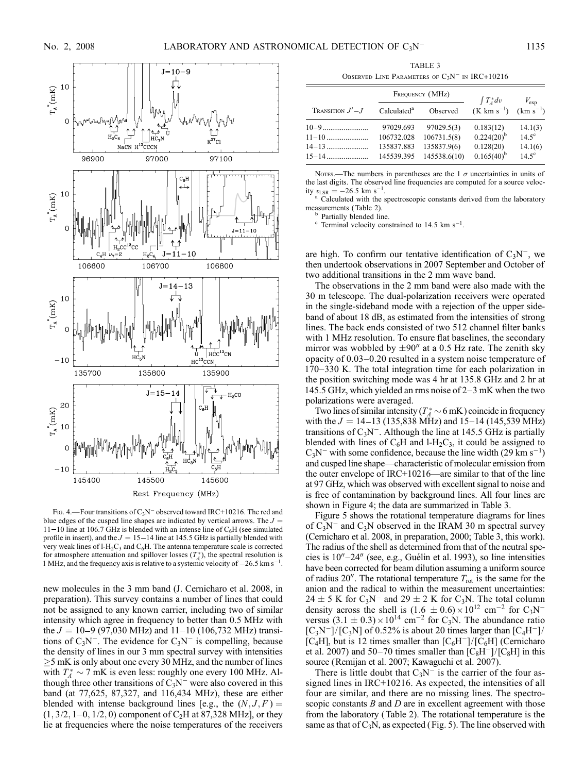

Fig. 4.—Four transitions of  $C_3N^-$  observed toward IRC+10216. The red and blue edges of the cusped line shapes are indicated by vertical arrows. The  $J =$  $11 - 10$  line at 106.7 GHz is blended with an intense line of  $C_6H$  (see simulated profile in insert), and the  $J = 15 - 14$  line at 145.5 GHz is partially blended with very weak lines of  $1-H_2C_3$  and  $C_6H$ . The antenna temperature scale is corrected for atmosphere attenuation and spillover losses  $(T_A^*)$ , the spectral resolution is 1 MHz, and the frequency axis is relative to a systemic velocity of  $-26.5 \text{ km s}^{-1}$ .

new molecules in the 3 mm band (J. Cernicharo et al. 2008, in preparation). This survey contains a number of lines that could not be assigned to any known carrier, including two of similar intensity which agree in frequency to better than 0.5 MHz with the  $J = 10-9$  (97,030 MHz) and 11–10 (106,732 MHz) transitions of  $C_3N^-$ . The evidence for  $C_3N^-$  is compelling, because the density of lines in our 3 mm spectral survey with intensities  $\geq$ 5 mK is only about one every 30 MHz, and the number of lines with  $T_A^* \sim 7$  mK is even less: roughly one every 100 MHz. Although three other transitions of  $C_3N^-$  were also covered in this band (at 77,625, 87,327, and 116,434 MHz), these are either blended with intense background lines [e.g., the  $(N, J, F) =$  $(1, 3/2, 1-0, 1/2, 0)$  component of C<sub>2</sub>H at 87,328 MHz], or they lie at frequencies where the noise temperatures of the receivers

TABLE 3 OBSERVED LINE PARAMETERS OF  $C_3N^-$  in IRC+10216

|                                   |                                                     | FREQUENCY (MHz)                                          | $\int T_A^* dv$                                              | $V_{\rm exp}$                                      |  |
|-----------------------------------|-----------------------------------------------------|----------------------------------------------------------|--------------------------------------------------------------|----------------------------------------------------|--|
| <b>TRANSITION</b> $J' - J$        | Calculated <sup>a</sup>                             | Observed                                                 | $(K \text{ km s}^{-1})$ $(km s^{-1})$                        |                                                    |  |
| $11 - 10$<br>$14-13$<br>$15 - 14$ | 97029.693<br>106732.028<br>135837.883<br>145539.395 | 97029.5(3)<br>106731.5(8)<br>135837.9(6)<br>145538.6(10) | 0.183(12)<br>$0.224(20)^{b}$<br>0.128(20)<br>$0.165(40)^{b}$ | 14.1(3)<br>$14.5^\circ$<br>14.1(6)<br>$14.5^\circ$ |  |

Notes.—The numbers in parentheses are the 1  $\sigma$  uncertainties in units of the last digits. The observed line frequencies are computed for a source velocity  $v_{LSR} = -26.5$  km s<sup>-1</sup>

<sup>a</sup> Calculated with the spectroscopic constants derived from the laboratory measurements (Table 2). measurements (Table 2).<br><sup>b</sup> Partially blended line.<br><sup>c</sup> Terminal velocity constrained to 14.5 km s<sup>-1</sup>.

are high. To confirm our tentative identification of  $C_3N^-$ , we then undertook observations in 2007 September and October of two additional transitions in the 2 mm wave band.

The observations in the 2 mm band were also made with the 30 m telescope. The dual-polarization receivers were operated in the single-sideband mode with a rejection of the upper sideband of about 18 dB, as estimated from the intensities of strong lines. The back ends consisted of two 512 channel filter banks with 1 MHz resolution. To ensure flat baselines, the secondary mirror was wobbled by  $\pm 90''$  at a 0.5 Hz rate. The zenith sky opacity of 0.03–0.20 resulted in a system noise temperature of 170–330 K. The total integration time for each polarization in the position switching mode was 4 hr at 135.8 GHz and 2 hr at 145.5 GHz, which yielded an rms noise of 2–3 mK when the two polarizations were averaged.

Two lines of similar intensity ( $T_A^* \sim 6$  mK) coincide in frequency with the  $J = 14-13$  (135,838 MHz) and 15-14 (145,539 MHz) transitions of  $C_3N^-$ . Although the line at 145.5 GHz is partially blended with lines of  $C_6H$  and l-H<sub>2</sub>C<sub>3</sub>, it could be assigned to  $C_3N^-$  with some confidence, because the line width (29 km s<sup>-1</sup>) and cusped line shape—characteristic of molecular emission from the outer envelope of IRC+10216—are similar to that of the line at 97 GHz, which was observed with excellent signal to noise and is free of contamination by background lines. All four lines are shown in Figure 4; the data are summarized in Table 3.

Figure 5 shows the rotational temperature diagrams for lines of  $C_3N^-$  and  $C_3N$  observed in the IRAM 30 m spectral survey (Cernicharo et al. 2008, in preparation, 2000; Table 3, this work). The radius of the shell as determined from that of the neutral species is  $10'' - 24''$  (see, e.g., Guélin et al. 1993), so line intensities have been corrected for beam dilution assuming a uniform source of radius 20". The rotational temperature  $T_{\text{rot}}$  is the same for the anion and the radical to within the measurement uncertainties:  $24 \pm 5$  K for C<sub>3</sub>N<sup>-</sup> and  $29 \pm 2$  K for C<sub>3</sub>N. The total column density across the shell is  $(1.6 \pm 0.6) \times 10^{12}$  cm<sup>-2</sup> for C<sub>3</sub>N<sup>-</sup> versus  $(3.1 \pm 0.3) \times 10^{14}$  cm<sup>-2</sup> for C<sub>3</sub>N. The abundance ratio  $[C_3N^-]/[C_3N]$  of 0.52% is about 20 times larger than  $[C_4H^-]/$ [C<sub>4</sub>H], but is 12 times smaller than  $[C_6H^-]/[C_6H]$  (Cernicharo et al. 2007) and 50–70 times smaller than  $[C_8H^-]/[C_8H]$  in this source (Remijan et al. 2007; Kawaguchi et al. 2007).

There is little doubt that  $C_3N^-$  is the carrier of the four assigned lines in IRC+10216. As expected, the intensities of all four are similar, and there are no missing lines. The spectroscopic constants  $B$  and  $D$  are in excellent agreement with those from the laboratory (Table 2). The rotational temperature is the same as that of  $C_3N$ , as expected (Fig. 5). The line observed with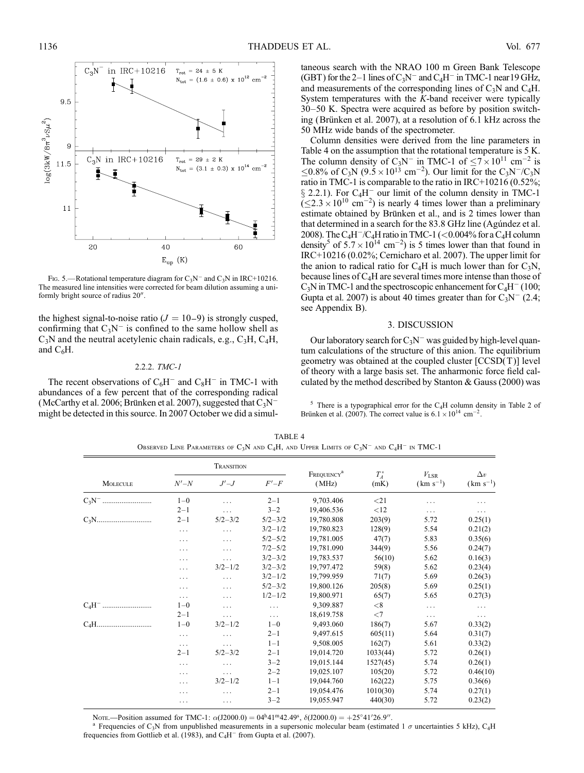

FIG. 5.—Rotational temperature diagram for  $C_3N^-$  and  $C_3N$  in IRC+10216. The measured line intensities were corrected for beam dilution assuming a uniformly bright source of radius 20".

the highest signal-to-noise ratio  $(J = 10-9)$  is strongly cusped, confirming that  $C_3N^-$  is confined to the same hollow shell as  $C_3N$  and the neutral acetylenic chain radicals, e.g.,  $C_3H$ ,  $C_4H$ , and  $C_6H$ .

# 2.2.2. TMC-1

The recent observations of  $C_6H^-$  and  $C_8H^-$  in TMC-1 with abundances of a few percent that of the corresponding radical (McCarthy et al. 2006; Brünken et al. 2007), suggested that  $C_3N^$ might be detected in this source. In 2007 October we did a simul-

taneous search with the NRAO 100 m Green Bank Telescope (GBT) for the 2–1 lines of  $C_3N^-$  and  $C_4H^-$  in TMC-1 near 19 GHz, and measurements of the corresponding lines of  $C_3N$  and  $C_4H$ . System temperatures with the K-band receiver were typically 30–50 K. Spectra were acquired as before by position switching (Brünken et al. 2007), at a resolution of 6.1 kHz across the 50 MHz wide bands of the spectrometer.

Column densities were derived from the line parameters in Table 4 on the assumption that the rotational temperature is 5 K. The column density of C<sub>3</sub>N<sup>-</sup> in TMC-1 of  $\leq$ 7 $\times$ 10<sup>11</sup> cm<sup>-2</sup> is  $\leq 0.8\%$  of C<sub>3</sub>N (9.5  $\times$  10<sup>13</sup> cm<sup>-2</sup>). Our limit for the C<sub>3</sub>N<sup>-</sup>/C<sub>3</sub>N ratio in TMC-1 is comparable to the ratio in IRC+10216 (0.52%;  $\S$  2.2.1). For C<sub>4</sub>H<sup>-</sup> our limit of the column density in TMC-1  $(\leq 2.3 \times 10^{10} \text{ cm}^{-2})$  is nearly 4 times lower than a preliminary estimate obtained by Brünken et al., and is 2 times lower than that determined in a search for the 83.8 GHz line (Agundez et al. 2008). The C<sub>4</sub>H<sup>-</sup>/C<sub>4</sub>H ratio in TMC-1 (<0.004% for a C<sub>4</sub>H column density<sup>5</sup> of  $5.7 \times 10^{14}$  cm<sup>-2</sup>) is 5 times lower than that found in IRC+10216 (0.02%; Cernicharo et al. 2007). The upper limit for the anion to radical ratio for  $C_4H$  is much lower than for  $C_3N$ , because lines of  $C_4H$  are several times more intense than those of  $C_3N$  in TMC-1 and the spectroscopic enhancement for  $C_4H^-$  (100; Gupta et al. 2007) is about 40 times greater than for  $C_3N^-$  (2.4; see Appendix B).

#### 3. DISCUSSION

Our laboratory search for  $C_3N^-$  was guided by high-level quantum calculations of the structure of this anion. The equilibrium geometry was obtained at the coupled cluster [CCSD(T )] level of theory with a large basis set. The anharmonic force field calculated by the method described by Stanton & Gauss (2000) was

 $5$  There is a typographical error for the C<sub>4</sub>H column density in Table 2 of Brünken et al. (2007). The correct value is  $6.1 \times 10^{14}$  cm<sup>-2</sup>.

|                                                                     |          | TRANSITION  |             |                                 |                 |                                |                             |
|---------------------------------------------------------------------|----------|-------------|-------------|---------------------------------|-----------------|--------------------------------|-----------------------------|
| <b>MOLECULE</b>                                                     | $N'-N$   | $J'$ - $J$  | $F'-F$      | FREQUENCY <sup>a</sup><br>(MHz) | $T_A^*$<br>(mK) | $V_{\rm LSR}$<br>$(km s^{-1})$ | $\Delta v$<br>$(km s^{-1})$ |
|                                                                     | $1 - 0$  | .           | $2 - 1$     | 9,703.406                       | $<$ 21          | .                              | .                           |
|                                                                     | $2 - 1$  | .           | $3 - 2$     | 19,406.536                      | <12             | $\cdots$                       | $\cdots$                    |
| $C_3N. \dots \dots \dots \dots \dots \dots \dots \dots \dots \dots$ | $2 - 1$  | $5/2 - 3/2$ | $5/2 - 3/2$ | 19,780.808                      | 203(9)          | 5.72                           | 0.25(1)                     |
|                                                                     | .        | .           | $3/2 - 1/2$ | 19,780.823                      | 128(9)          | 5.54                           | 0.21(2)                     |
|                                                                     | .        | $\cdots$    | $5/2 - 5/2$ | 19,781.005                      | 47(7)           | 5.83                           | 0.35(6)                     |
|                                                                     | .        | $\cdots$    | $7/2 - 5/2$ | 19,781.090                      | 344(9)          | 5.56                           | 0.24(7)                     |
|                                                                     | .        | $\cdots$    | $3/2 - 3/2$ | 19,783.537                      | 56(10)          | 5.62                           | 0.16(3)                     |
|                                                                     | .        | $3/2 - 1/2$ | $3/2 - 3/2$ | 19,797.472                      | 59(8)           | 5.62                           | 0.23(4)                     |
|                                                                     | .        | $\cdots$    | $3/2 - 1/2$ | 19,799.959                      | 71(7)           | 5.69                           | 0.26(3)                     |
|                                                                     | .        | $\cdots$    | $5/2 - 3/2$ | 19,800.126                      | 205(8)          | 5.69                           | 0.25(1)                     |
|                                                                     | $\cdots$ | $\cdots$    | $1/2 - 1/2$ | 19,800.971                      | 65(7)           | 5.65                           | 0.27(3)                     |
|                                                                     | $1 - 0$  | .           | $\cdots$    | 9,309.887                       | < 8             | $\cdots$                       | $\cdots$                    |
|                                                                     | $2 - 1$  | $\cdots$    | $\cdots$    | 18,619.758                      | $<$ 7           | $\cdots$                       | .                           |
|                                                                     | $1 - 0$  | $3/2 - 1/2$ | $1 - 0$     | 9,493.060                       | 186(7)          | 5.67                           | 0.33(2)                     |
|                                                                     | .        | .           | $2 - 1$     | 9,497.615                       | 605(11)         | 5.64                           | 0.31(7)                     |
|                                                                     | $\cdots$ | $\cdots$    | $1 - 1$     | 9,508.005                       | 162(7)          | 5.61                           | 0.33(2)                     |
|                                                                     | $2 - 1$  | $5/2 - 3/2$ | $2 - 1$     | 19,014.720                      | 1033(44)        | 5.72                           | 0.26(1)                     |
|                                                                     | .        | .           | $3 - 2$     | 19,015.144                      | 1527(45)        | 5.74                           | 0.26(1)                     |
|                                                                     | .        | .           | $2 - 2$     | 19,025.107                      | 105(20)         | 5.72                           | 0.46(10)                    |
|                                                                     | .        | $3/2 - 1/2$ | $1 - 1$     | 19,044.760                      | 162(22)         | 5.75                           | 0.36(6)                     |
|                                                                     | .        | $\cdots$    | $2 - 1$     | 19,054.476                      | 1010(30)        | 5.74                           | 0.27(1)                     |
|                                                                     | .        | $\cdots$    | $3 - 2$     | 19,055.947                      | 440(30)         | 5.72                           | 0.23(2)                     |

TABLE 4 OBSERVED LINE PARAMETERS OF  $C_3N$  and  $C_4H$ , and Upper Limits of  $C_3N^-$  and  $C_4H^-$  in TMC-1

Nore.—Position assumed for TMC-1:  $\alpha$ (J2000.0) = 04<sup>h</sup>41<sup>m</sup>42.49<sup>s</sup>,  $\delta$ (J2000.0) = +25<sup>°</sup>41'

<sup>a</sup> Frequencies of C<sub>3</sub>N from unpublished measurements in a supersonic molecular beam (estimated 1  $\sigma$  uncertainties 5 kHz), C<sub>4</sub>H frequencies from Gottlieb et al. (1983), and  $C_4H^-$  from Gupta et al. (2007).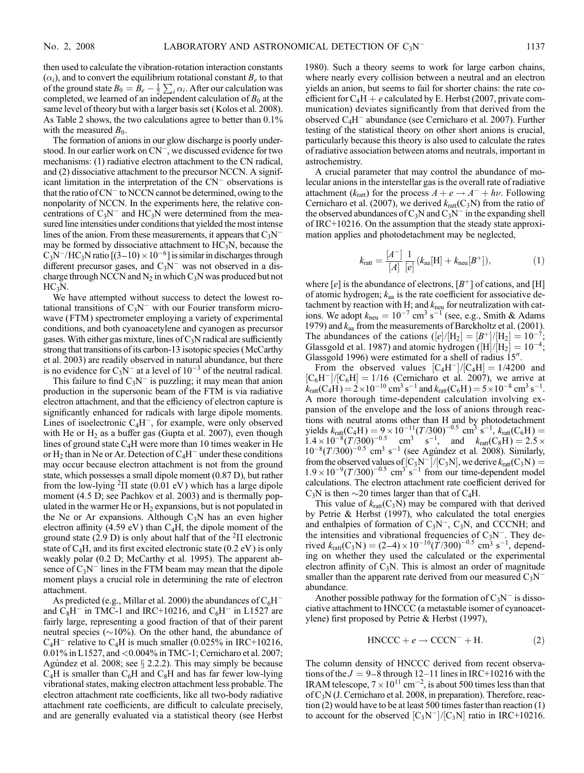then used to calculate the vibration-rotation interaction constants  $(\alpha_i)$ , and to convert the equilibrium rotational constant  $B_e$  to that of the ground state  $B_0 = \overline{B}_e - \frac{1}{2}$  $\sum_i \alpha_i$ . After our calculation was completed, we learned of an independent calculation of  $B_0$  at the same level of theory but with a larger basis set (Kolos et al. 2008). As Table 2 shows, the two calculations agree to better than 0.1% with the measured  $B_0$ .

The formation of anions in our glow discharge is poorly understood. In our earlier work on  $CN^-$ , we discussed evidence for two mechanisms: (1) radiative electron attachment to the CN radical, and (2) dissociative attachment to the precursor NCCN. A significant limitation in the interpretation of the  $CN^-$  observations is that the ratio of  $CN^-$  to NCCN cannot be determined, owing to the nonpolarity of NCCN. In the experiments here, the relative concentrations of  $C_3N^-$  and  $HC_3N$  were determined from the measured line intensities under conditions that yielded the most intense lines of the anion. From these measurements, it appears that  $C_3N^$ may be formed by dissociative attachment to  $HC_3N$ , because the  $C_3N^-/HC_3N$  ratio  $[(3-10) \times 10^{-6}]$  is similar in discharges through different precursor gases, and  $C_3N^-$  was not observed in a discharge through NCCN and  $N_2$  in which  $C_3N$  was produced but not  $HC<sub>3</sub>N$ .

We have attempted without success to detect the lowest rotational transitions of  $C_3N^-$  with our Fourier transform microwave (FTM) spectrometer employing a variety of experimental conditions, and both cyanoacetylene and cyanogen as precursor gases. With either gas mixture, lines of  $C_3N$  radical are sufficiently strong that transitions of its carbon-13 isotopic species (McCarthy et al. 2003) are readily observed in natural abundance, but there is no evidence for  $C_3N^-$  at a level of  $10^{-3}$  of the neutral radical.

This failure to find  $C_3N^-$  is puzzling; it may mean that anion production in the supersonic beam of the FTM is via radiative electron attachment, and that the efficiency of electron capture is significantly enhanced for radicals with large dipole moments. Lines of isoelectronic  $C_4H^-$ , for example, were only observed with He or  $H_2$  as a buffer gas (Gupta et al. 2007), even though lines of ground state  $C_4H$  were more than 10 times weaker in He or  $H_2$  than in Ne or Ar. Detection of  $C_4H^-$  under these conditions may occur because electron attachment is not from the ground state, which possesses a small dipole moment (0.87 D), but rather from the low-lying  ${}^{2}$ II state (0.01 eV) which has a large dipole moment (4.5 D; see Pachkov et al. 2003) and is thermally populated in the warmer He or  $H_2$  expansions, but is not populated in the Ne or Ar expansions. Although  $C_3N$  has an even higher electron affinity (4.59 eV) than  $C_4H$ , the dipole moment of the ground state (2.9 D) is only about half that of the  ${}^{2}$ II electronic state of  $C_4H$ , and its first excited electronic state (0.2 eV) is only weakly polar (0.2 D; McCarthy et al. 1995). The apparent absence of  $C_3N^-$  lines in the FTM beam may mean that the dipole moment plays a crucial role in determining the rate of electron attachment.

As predicted (e.g., Millar et al. 2000) the abundances of  $C_6H^$ and  $C_8H^-$  in TMC-1 and IRC+10216, and  $C_6H^-$  in L1527 are fairly large, representing a good fraction of that of their parent neutral species ( $\sim$ 10%). On the other hand, the abundance of  $C_4H^-$  relative to  $C_4H$  is much smaller (0.025% in IRC+10216, 0.01% in L1527, and <0.004% in TMC-1; Cernicharo et al. 2007; Agúndez et al. 2008; see  $\S$  2.2.2). This may simply be because  $C_4H$  is smaller than  $C_6H$  and  $C_8H$  and has far fewer low-lying vibrational states, making electron attachment less probable. The electron attachment rate coefficients, like all two-body radiative attachment rate coefficients, are difficult to calculate precisely, and are generally evaluated via a statistical theory (see Herbst 1980). Such a theory seems to work for large carbon chains, where nearly every collision between a neutral and an electron yields an anion, but seems to fail for shorter chains: the rate coefficient for  $C_4H + e$  calculated by E. Herbst (2007, private communication) deviates significantly from that derived from the observed  $C_4H^-$  abundance (see Cernicharo et al. 2007). Further testing of the statistical theory on other short anions is crucial, particularly because this theory is also used to calculate the rates of radiative association between atoms and neutrals, important in astrochemistry.

A crucial parameter that may control the abundance of molecular anions in the interstellar gas is the overall rate of radiative attachment ( $k_{\text{ratt}}$ ) for the process  $A + e \rightarrow A^- + h\nu$ . Following Cernicharo et al. (2007), we derived  $k_{\text{ratt}}(C_3N)$  from the ratio of the observed abundances of  $C_3N$  and  $C_3N^-$  in the expanding shell of IRC+10216. On the assumption that the steady state approximation applies and photodetachment may be neglected,

$$
k_{\text{ratt}} = \frac{[A^-]}{[A]} \frac{1}{[e]} (k_{\text{aa}}[H] + k_{\text{neu}}[B^+]), \tag{1}
$$

where  $[e]$  is the abundance of electrons,  $[B^+]$  of cations, and [H] of atomic hydrogen;  $k_{aa}$  is the rate coefficient for associative detachment by reaction with H; and  $k<sub>neu</sub>$  for neutralization with cations. We adopt  $k_{\text{neu}} = 10^{-7} \text{ cm}^3 \text{ s}^{-1}$  (see, e.g., Smith & Adams 1979) and  $k_{aa}$  from the measurements of Barckholtz et al. (2001). The abundances of the cations  $(|e|/|H_2| = |B^+|/|H_2| = 10^{-7};$ Glassgold et al. 1987) and atomic hydrogen ( $[H]/[H_2] = 10^{-4}$ ; Glassgold 1996) were estimated for a shell of radius  $15<sup>′′</sup>$ .

From the observed values  $\rm [C_4H^-]/[C_4H] = 1/4200$  and  $[C_6H^-]/[C_6H] = 1/16$  (Cernicharo et al. 2007), we arrive at  $k_{\text{ratt}}(C_4H) = 2 \times 10^{-10} \text{ cm}^3 \text{ s}^{-1}$  and  $k_{\text{ratt}}(C_6H) = 5 \times 10^{-8} \text{ cm}^3 \text{ s}^{-1}$ . A more thorough time-dependent calculation involving expansion of the envelope and the loss of anions through reactions with neutral atoms other than H and by photodetachment yields  $k_{\text{rat}}(C_4H) = 9 \times 10^{-11} (T/300)^{-0.5} \text{ cm}^3 \text{ s}^{-1}, k_{\text{rat}}(C_6H) =$  $1.4 \times 10^{-8} (T/300)^{-0.5}$  cm<sup>3</sup> s<sup>-1</sup>, and  $k_{\text{ratt}}(C_8H) = 2.5 \times$  $10^{-8} (T / 300)^{-0.5}$  cm<sup>3</sup> s<sup>-1</sup> (see Agundez et al. 2008). Similarly, from the observed values of  $[C_3N^-]/[C_3N]$ , we derive  $k_{\text{ratt}}(C_3N) =$  $1.9 \times 10^{-9} (T/300)^{-0.5}$  cm<sup>3</sup> s<sup>-1</sup> from our time-dependent model calculations. The electron attachment rate coefficient derived for  $C_3N$  is then  $\sim$  20 times larger than that of  $C_4H$ .

This value of  $k_{\text{ratt}}(C_3N)$  may be compared with that derived by Petrie & Herbst (1997), who calculated the total energies and enthalpies of formation of  $C_3N^-$ ,  $C_3N$ , and CCCNH; and the intensities and vibrational frequencies of  $C_3N^-$ . They derived  $k_{\text{ratt}}(C_3N) = (2-4) \times 10^{-10} (\dot{T}/300)^{-0.5} \text{ cm}^3 \text{ s}^{-1}$ , depending on whether they used the calculated or the experimental electron affinity of  $C_3N$ . This is almost an order of magnitude smaller than the apparent rate derived from our measured  $C_3N^$ abundance.

Another possible pathway for the formation of  $C_3N^-$  is dissociative attachment to HNCCC (a metastable isomer of cyanoacetylene) first proposed by Petrie & Herbst (1997),

$$
HNCCC + e \rightarrow CCCN^- + H. \tag{2}
$$

The column density of HNCCC derived from recent observations of the  $J = 9-8$  through 12–11 lines in IRC+10216 with the IRAM telescope,  $7 \times 10^{11}$  cm<sup>-2</sup>, is about 500 times less than that of C3N (J. Cernicharo et al. 2008, in preparation). Therefore, reaction (2) would have to be at least 500 times faster than reaction (1) to account for the observed  $[C_3N^-]/[C_3N]$  ratio in IRC+10216.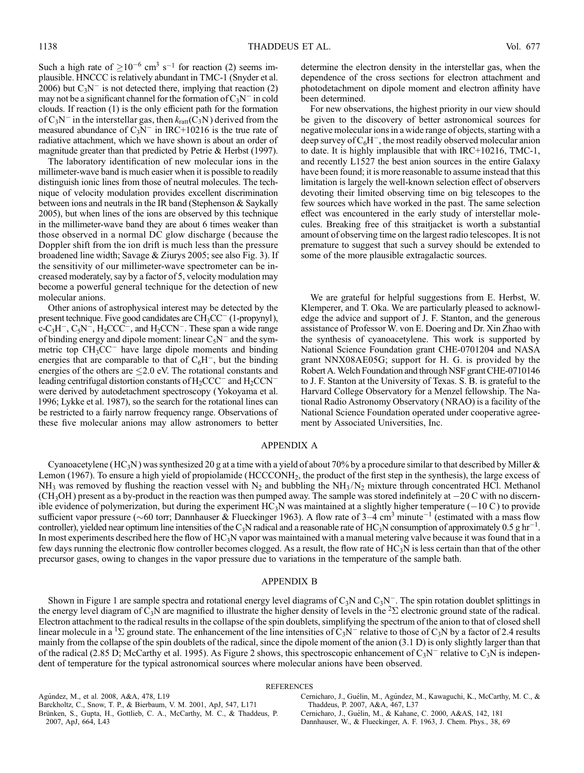Such a high rate of  $>10^{-6}$  cm<sup>3</sup> s<sup>-1</sup> for reaction (2) seems implausible. HNCCC is relatively abundant in TMC-1 (Snyder et al. 2006) but  $C_3N^-$  is not detected there, implying that reaction (2) may not be a significant channel for the formation of  $C_3N^-$  in cold clouds. If reaction (1) is the only efficient path for the formation of  $C_3N^-$  in the interstellar gas, then  $k_{\text{ratt}}(C_3N)$  derived from the measured abundance of  $C_3N^-$  in IRC+10216 is the true rate of radiative attachment, which we have shown is about an order of magnitude greater than that predicted by Petrie & Herbst (1997).

The laboratory identification of new molecular ions in the millimeter-wave band is much easier when it is possible to readily distinguish ionic lines from those of neutral molecules. The technique of velocity modulation provides excellent discrimination between ions and neutrals in the IR band (Stephenson & Saykally 2005), but when lines of the ions are observed by this technique in the millimeter-wave band they are about 6 times weaker than those observed in a normal DC glow discharge ( because the Doppler shift from the ion drift is much less than the pressure broadened line width; Savage & Ziurys 2005; see also Fig. 3). If the sensitivity of our millimeter-wave spectrometer can be increased moderately, say by a factor of 5, velocity modulation may become a powerful general technique for the detection of new molecular anions.

Other anions of astrophysical interest may be detected by the present technique. Five good candidates are  $CH<sub>3</sub>CC<sup>-</sup>$  (1-propynyl), c-C<sub>3</sub>H<sup>-</sup>, C<sub>5</sub>N<sup>-</sup>, H<sub>2</sub>CCC<sup>-</sup>, and H<sub>2</sub>CCN<sup>-</sup>. These span a wide range of binding energy and dipole moment: linear  $C_5N^-$  and the symmetric top  $CH<sub>3</sub>CC<sup>-</sup>$  have large dipole moments and binding energies that are comparable to that of  $C_6H^-$ , but the binding energies of the others are  $\leq$  2.0 eV. The rotational constants and leading centrifugal distortion constants of  $H_2CCC^-$  and  $H_2CCN^$ were derived by autodetachment spectroscopy (Yokoyama et al. 1996; Lykke et al. 1987), so the search for the rotational lines can be restricted to a fairly narrow frequency range. Observations of these five molecular anions may allow astronomers to better determine the electron density in the interstellar gas, when the dependence of the cross sections for electron attachment and photodetachment on dipole moment and electron affinity have been determined.

For new observations, the highest priority in our view should be given to the discovery of better astronomical sources for negative molecular ions in a wide range of objects, starting with a deep survey of  $C_6H^-$ , the most readily observed molecular anion to date. It is highly implausible that with IRC+10216, TMC-1, and recently L1527 the best anion sources in the entire Galaxy have been found; it is more reasonable to assume instead that this limitation is largely the well-known selection effect of observers devoting their limited observing time on big telescopes to the few sources which have worked in the past. The same selection effect was encountered in the early study of interstellar molecules. Breaking free of this straitjacket is worth a substantial amount of observing time on the largest radio telescopes. It is not premature to suggest that such a survey should be extended to some of the more plausible extragalactic sources.

We are grateful for helpful suggestions from E. Herbst, W. Klemperer, and T. Oka. We are particularly pleased to acknowledge the advice and support of J. F. Stanton, and the generous assistance of Professor W. von E. Doering and Dr. Xin Zhao with the synthesis of cyanoacetylene. This work is supported by National Science Foundation grant CHE-0701204 and NASA grant NNX08AE05G; support for H. G. is provided by the Robert A.Welch Foundation and through NSF grant CHE-0710146 to J. F. Stanton at the University of Texas. S. B. is grateful to the Harvard College Observatory for a Menzel fellowship. The National Radio Astronomy Observatory (NRAO) is a facility of the National Science Foundation operated under cooperative agreement by Associated Universities, Inc.

# APPENDIX A

Cyanoacetylene (HC<sub>3</sub>N) was synthesized 20 g at a time with a yield of about 70% by a procedure similar to that described by Miller & Lemon (1967). To ensure a high yield of propiolamide (HCCCONH<sub>2</sub>, the product of the first step in the synthesis), the large excess of  $NH_3$  was removed by flushing the reaction vessel with N<sub>2</sub> and bubbling the NH<sub>3</sub>/N<sub>2</sub> mixture through concentrated HCl. Methanol  $(CH<sub>3</sub>OH)$  present as a by-product in the reaction was then pumped away. The sample was stored indefinitely at  $-20$  C with no discernible evidence of polymerization, but during the experiment HC<sub>3</sub>N was maintained at a slightly higher temperature ( $-10 \text{ C}$ ) to provide sufficient vapor pressure ( $\sim$ 60 torr; Dannhauser & Flueckinger 1963). A flow rate of 3–4 cm<sup>3</sup> minute<sup>-1</sup> (estimated with a mass flow controller), yielded near optimum line intensities of the C<sub>3</sub>N radical and a reasonable rate of HC<sub>3</sub>N consumption of approximately 0.5 g hr<sup>-1</sup>. In most experiments described here the flow of HC<sub>3</sub>N vapor was maintained with a manual metering valve because it was found that in a few days running the electronic flow controller becomes clogged. As a result, the flow rate of HC<sub>3</sub>N is less certain than that of the other precursor gases, owing to changes in the vapor pressure due to variations in the temperature of the sample bath.

#### APPENDIX B

Shown in Figure 1 are sample spectra and rotational energy level diagrams of  $C_3N$  and  $C_3N^-$ . The spin rotation doublet splittings in the energy level diagram of  $\overline{C_3N}$  are magnified to illustrate the higher density of levels in the  ${}^2\Sigma$  electronic ground state of the radical. Electron attachment to the radical results in the collapse of the spin doublets, simplifying the spectrum of the anion to that of closed shell linear molecule in a <sup>1</sup> $\Sigma$  ground state. The enhancement of the line intensities of  $C_3N^-$  relative to those of  $C_3N$  by a factor of 2.4 results mainly from the collapse of the spin doublets of the radical, since the dipole moment of the anion (3.1 D) is only slightly larger than that of the radical (2.85 D; McCarthy et al. 1995). As Figure 2 shows, this spectroscopic enhancement of  $C_3N^-$  relative to  $C_3N$  is independent of temperature for the typical astronomical sources where molecular anions have been observed.

#### **REFERENCES**

Agúndez, M., et al. 2008, A&A, 478, L19

Barckholtz, C., Snow, T. P., & Bierbaum, V. M. 2001, ApJ, 547, L171

Brünken, S., Gupta, H., Gottlieb, C. A., McCarthy, M. C., & Thaddeus, P. 2007, ApJ, 664, L43

Cernicharo, J., Guélin, M., Agúndez, M., Kawaguchi, K., McCarthy, M. C., & Thaddeus, P. 2007, A&A, 467, L37

Cernicharo, J., Guélin, M., & Kahane, C. 2000, A&AS, 142, 181 Dannhauser, W., & Flueckinger, A. F. 1963, J. Chem. Phys., 38, 69